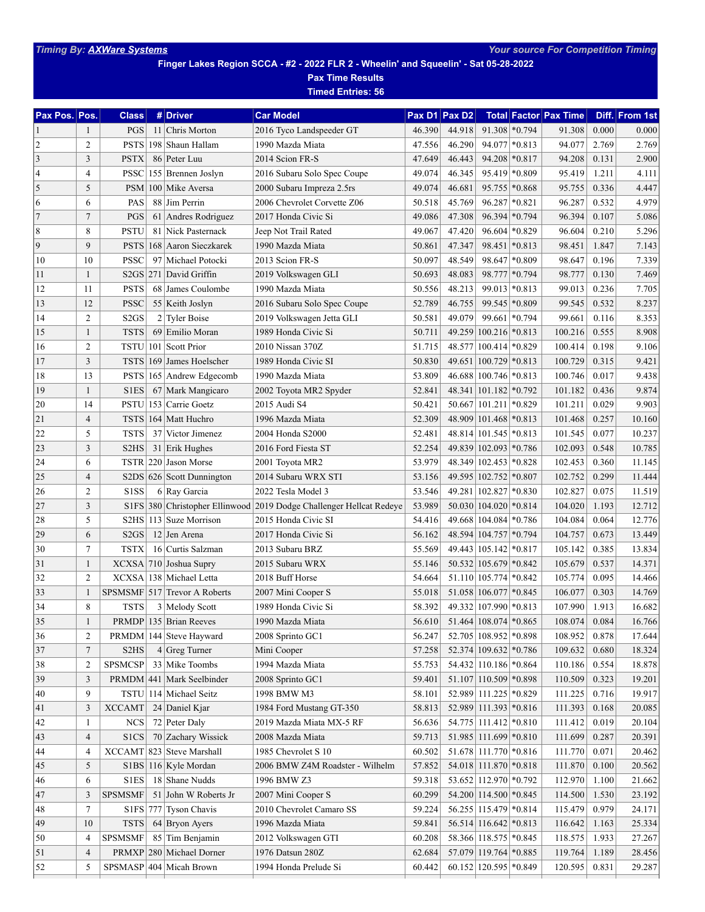**Finger Lakes Region SCCA - #2 - 2022 FLR 2 - Wheelin' and Squeelin' - Sat 05-28-2022**

**Pax Time Results Timed Entries: 56**

| Pax Pos. Pos.  |                | <b>Class</b>                  |     | # Driver                        | <b>Car Model</b>                                                    | Pax D1 | Pax D <sub>2</sub> |                            |                  | <b>Total Factor Pax Time</b> |       | Diff. From 1st |
|----------------|----------------|-------------------------------|-----|---------------------------------|---------------------------------------------------------------------|--------|--------------------|----------------------------|------------------|------------------------------|-------|----------------|
| 1              | 1              | PGS                           |     | 11 Chris Morton                 | 2016 Tyco Landspeeder GT                                            | 46.390 | 44.918             |                            | $91.308$ * 0.794 | 91.308                       | 0.000 | 0.000          |
| $\overline{2}$ | $\overline{c}$ | PSTS                          |     | 198 Shaun Hallam                | 1990 Mazda Miata                                                    | 47.556 | 46.290             | 94.077                     | $*0.813$         | 94.077                       | 2.769 | 2.769          |
| 3              | 3              | <b>PSTX</b>                   |     | 86 Peter Luu                    | 2014 Scion FR-S                                                     | 47.649 | 46.443             | 94.208                     | $*0.817$         | 94.208                       | 0.131 | 2.900          |
| $\overline{4}$ | 4              | <b>PSSC</b>                   |     | 155 Brennen Joslyn              | 2016 Subaru Solo Spec Coupe                                         | 49.074 | 46.345             |                            | 95.419 * 0.809   | 95.419                       | 1.211 | 4.111          |
| 5              | 5              | PSM                           |     | 100 Mike Aversa                 | 2000 Subaru Impreza 2.5rs                                           | 49.074 | 46.681             |                            | 95.755 * 0.868   | 95.755                       | 0.336 | 4.447          |
| 6              | 6              | PAS                           |     | 88 Jim Perrin                   | 2006 Chevrolet Corvette Z06                                         | 50.518 | 45.769             | 96.287                     | $*0.821$         | 96.287                       | 0.532 | 4.979          |
| $\overline{7}$ | $\overline{7}$ | PGS                           | 61  | Andres Rodriguez                | 2017 Honda Civic Si                                                 | 49.086 | 47.308             | 96.394                     | $*0.794$         | 96.394                       | 0.107 | 5.086          |
| 8              | 8              | <b>PSTU</b>                   | 81  | Nick Pasternack                 | Jeep Not Trail Rated                                                | 49.067 | 47.420             | 96.604                     | $*0.829$         | 96.604                       | 0.210 | 5.296          |
| 9              | 9              | <b>PSTS</b>                   | 168 | Aaron Sieczkarek                | 1990 Mazda Miata                                                    | 50.861 | 47.347             |                            | 98.451 * 0.813   | 98.451                       | 1.847 | 7.143          |
| 10             | 10             | <b>PSSC</b>                   |     | 97 Michael Potocki              | 2013 Scion FR-S                                                     | 50.097 | 48.549             |                            | 98.647 * 0.809   | 98.647                       | 0.196 | 7.339          |
| 11             | 1              |                               |     | S2GS 271 David Griffin          | 2019 Volkswagen GLI                                                 | 50.693 | 48.083             |                            | 98.777 * 0.794   | 98.777                       | 0.130 | 7.469          |
| 12             | 11             | <b>PSTS</b>                   |     | 68 James Coulombe               | 1990 Mazda Miata                                                    | 50.556 | 48.213             | 99.013                     | $*0.813$         | 99.013                       | 0.236 | 7.705          |
| 13             | 12             | <b>PSSC</b>                   |     | 55 Keith Joslyn                 | 2016 Subaru Solo Spec Coupe                                         | 52.789 | 46.755             | 99.545                     | *0.809           | 99.545                       | 0.532 | 8.237          |
| 14             | $\overline{c}$ | S <sub>2GS</sub>              |     | 2 Tyler Boise                   | 2019 Volkswagen Jetta GLI                                           | 50.581 | 49.079             |                            | 99.661 * 0.794   | 99.661                       | 0.116 | 8.353          |
| 15             | $\mathbf{1}$   | <b>TSTS</b>                   |     | 69 Emilio Moran                 | 1989 Honda Civic Si                                                 | 50.711 |                    | 49.259 100.216 * 0.813     |                  | 100.216                      | 0.555 | 8.908          |
| 16             | $\overline{2}$ | <b>TSTU</b> 101               |     | Scott Prior                     | 2010 Nissan 370Z                                                    | 51.715 | 48.577             | $ 100.414  * 0.829$        |                  | 100.414                      | 0.198 | 9.106          |
| 17             | 3              |                               |     | TSTS 169 James Hoelscher        | 1989 Honda Civic SI                                                 | 50.830 |                    | 49.651   100.729   * 0.813 |                  | 100.729                      | 0.315 | 9.421          |
| 18             | 13             |                               |     | PSTS 165 Andrew Edgecomb        | 1990 Mazda Miata                                                    | 53.809 |                    | 46.688 100.746 * 0.813     |                  | 100.746                      | 0.017 | 9.438          |
| 19             | 1              | <b>S1ES</b>                   | 67  | Mark Mangicaro                  | 2002 Toyota MR2 Spyder                                              | 52.841 | 48.341             | $ 101.182  *0.792$         |                  | 101.182                      | 0.436 | 9.874          |
| 20             | 14             | <b>PSTU</b>                   |     | 153 Carrie Goetz                | 2015 Audi S4                                                        | 50.421 | 50.667             | $ 101.211  * 0.829$        |                  | 101.211                      | 0.029 | 9.903          |
| 21             | $\overline{4}$ | <b>TSTS</b>                   |     | 164 Matt Huchro                 | 1996 Mazda Miata                                                    | 52.309 | 48.909             | $ 101.468  * 0.813$        |                  | 101.468                      | 0.257 | 10.160         |
| 22             | 5              | <b>TSTS</b>                   | 37  | Victor Jimenez                  | 2004 Honda S2000                                                    | 52.481 |                    | 48.814 101.545 * 0.813     |                  | 101.545                      | 0.077 | 10.237         |
| 23             | 3              | S <sub>2</sub> H <sub>S</sub> |     | $31$ Erik Hughes                | 2016 Ford Fiesta ST                                                 | 52.254 |                    | 49.839 102.093 * 0.786     |                  | 102.093                      | 0.548 | 10.785         |
| 24             | 6              | <b>TSTR</b>                   |     | 220 Jason Morse                 | 2001 Toyota MR2                                                     | 53.979 | 48.349             | $ 102.453  * 0.828$        |                  | 102.453                      | 0.360 | 11.145         |
| 25             | $\overline{4}$ |                               |     | $S2DS   626  $ Scott Dunnington | 2014 Subaru WRX STI                                                 | 53.156 |                    | 49.595 102.752 * 0.807     |                  | 102.752                      | 0.299 | 11.444         |
| 26             | $\overline{2}$ | <b>S1SS</b>                   |     | 6 Ray Garcia                    | 2022 Tesla Model 3                                                  | 53.546 | 49.281             | $ 102.827  * 0.830$        |                  | 102.827                      | 0.075 | 11.519         |
| 27             | 3              |                               |     |                                 | S1FS 380 Christopher Ellinwood 2019 Dodge Challenger Hellcat Redeye | 53.989 |                    | 50.030 104.020 * 0.814     |                  | 104.020                      | 1.193 | 12.712         |
| 28             | 5              | S2HS                          |     | 113 Suze Morrison               | 2015 Honda Civic SI                                                 | 54.416 |                    | 49.668   104.084   * 0.786 |                  | 104.084                      | 0.064 | 12.776         |
| 29             | 6              | S <sub>2GS</sub>              |     | 12 Jen Arena                    | 2017 Honda Civic Si                                                 | 56.162 | 48.594             | $ 104.757  * 0.794$        |                  | 104.757                      | 0.673 | 13.449         |
| 30             | $\overline{7}$ | <b>TSTX</b>                   |     | 16 Curtis Salzman               | 2013 Subaru BRZ                                                     | 55.569 |                    | 49.443   105.142   * 0.817 |                  | 105.142                      | 0.385 | 13.834         |
| 31             | 1              |                               |     | XCXSA 710 Joshua Supry          | 2015 Subaru WRX                                                     | 55.146 |                    | 50.532   105.679   * 0.842 |                  | 105.679                      | 0.537 | 14.371         |
| 32             | $\overline{c}$ |                               |     | XCXSA 138 Michael Letta         | 2018 Buff Horse                                                     | 54.664 |                    | 51.110 105.774 * 0.842     |                  | 105.774                      | 0.095 | 14.466         |
| 33             | 1              |                               |     | SPSMSMF 517 Trevor A Roberts    | 2007 Mini Cooper S                                                  | 55.018 |                    | 51.058 106.077 * 0.845     |                  | 106.077                      | 0.303 | 14.769         |
| 34             | 8              | <b>TSTS</b>                   |     | 3 Melody Scott                  | 1989 Honda Civic Si                                                 | 58.392 |                    | 49.332 107.990 * 0.813     |                  | 107.990                      | 1.913 | 16.682         |
| 35             | 1              |                               |     | $PRMDP$ 135 Brian Reeves        | 1990 Mazda Miata                                                    | 56.610 |                    | 51.464 108.074 * 0.865     |                  | 108.074                      | 0.084 | 16.766         |
| 36             | 2              |                               |     | PRMDM 144 Steve Hayward         | 2008 Sprinto GC1                                                    | 56.247 |                    | 52.705   108.952   * 0.898 |                  | 108.952                      | 0.878 | 17.644         |
| 37             | $\overline{7}$ | S2HS                          |     | $4 Greg$ Turner                 | Mini Cooper                                                         | 57.258 |                    | 52.374 109.632 * 0.786     |                  | 109.632                      | 0.680 | 18.324         |
| 38             | $\overline{2}$ | <b>SPSMCSP</b>                |     | 33 Mike Toombs                  | 1994 Mazda Miata                                                    | 55.753 |                    | 54.432 110.186 * 0.864     |                  | 110.186                      | 0.554 | 18.878         |
| 39             | 3              |                               |     | PRMDM 441 Mark Seelbinder       | 2008 Sprinto GC1                                                    | 59.401 |                    | 51.107 110.509 * 0.898     |                  | 110.509                      | 0.323 | 19.201         |
| 40             | 9              |                               |     | TSTU 114 Michael Seitz          | 1998 BMW M3                                                         | 58.101 |                    | 52.989 111.225 * 0.829     |                  | 111.225                      | 0.716 | 19.917         |
| 41             | 3              | <b>XCCAMT</b>                 |     | $24$ Daniel Kjar                | 1984 Ford Mustang GT-350                                            | 58.813 |                    | 52.989 111.393 * 0.816     |                  | 111.393                      | 0.168 | 20.085         |
| 42             | 1              | <b>NCS</b>                    |     | 72 Peter Daly                   | 2019 Mazda Miata MX-5 RF                                            | 56.636 |                    | 54.775 111.412 * 0.810     |                  | 111.412                      | 0.019 | 20.104         |
| 43             | $\overline{4}$ | S1CS                          |     | 70 Zachary Wissick              | 2008 Mazda Miata                                                    | 59.713 |                    | 51.985 111.699 * 0.810     |                  | 111.699                      | 0.287 | 20.391         |
| 44             | $\overline{4}$ |                               |     | XCCAMT 823 Steve Marshall       | 1985 Chevrolet S 10                                                 | 60.502 |                    | 51.678 111.770 * 0.816     |                  | 111.770                      | 0.071 | 20.462         |
| $45\,$         | 5              |                               |     | S1BS 116 Kyle Mordan            | 2006 BMW Z4M Roadster - Wilhelm                                     | 57.852 |                    | 54.018 111.870 * 0.818     |                  | 111.870                      | 0.100 | 20.562         |
| 46             | 6              | S1ES                          |     | 18 Shane Nudds                  | 1996 BMW Z3                                                         | 59.318 |                    | 53.652 112.970 * 0.792     |                  | 112.970                      | 1.100 | 21.662         |
| $47\,$         | 3              | <b>SPSMSMF</b>                |     | 51 John W Roberts Jr            | 2007 Mini Cooper S                                                  | 60.299 |                    | 54.200 114.500 * 0.845     |                  | 114.500                      | 1.530 | 23.192         |
| $\sqrt{48}$    | $\overline{7}$ |                               |     | S1FS 777 Tyson Chavis           | 2010 Chevrolet Camaro SS                                            | 59.224 |                    | 56.255 115.479 * 0.814     |                  | 115.479                      | 0.979 | 24.171         |
| 49             | 10             | <b>TSTS</b>                   |     | 64 Bryon Ayers                  | 1996 Mazda Miata                                                    | 59.841 |                    | 56.514 116.642 * 0.813     |                  | 116.642                      | 1.163 | 25.334         |
| 50             | 4              | <b>SPSMSMF</b>                | 85  | Tim Benjamin                    | 2012 Volkswagen GTI                                                 | 60.208 |                    | 58.366 118.575 * 0.845     |                  | 118.575                      | 1.933 | 27.267         |
| 51             | $\overline{4}$ |                               |     | PRMXP 280 Michael Dorner        | 1976 Datsun 280Z                                                    | 62.684 |                    | 57.079 119.764 * 0.885     |                  | 119.764                      | 1.189 | 28.456         |
| 52             | 5              |                               |     | SPSMASP 404 Micah Brown         | 1994 Honda Prelude Si                                               | 60.442 |                    | 60.152   120.595   * 0.849 |                  | 120.595                      | 0.831 | 29.287         |
|                |                |                               |     |                                 |                                                                     |        |                    |                            |                  |                              |       |                |